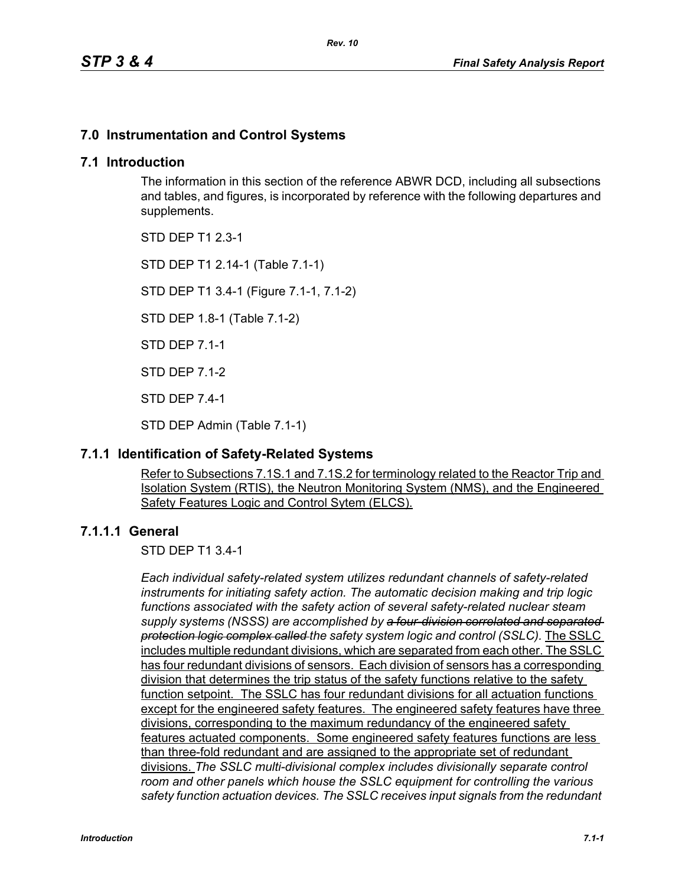## **7.0 Instrumentation and Control Systems**

#### **7.1 Introduction**

The information in this section of the reference ABWR DCD, including all subsections and tables, and figures, is incorporated by reference with the following departures and supplements.

STD DEP T1 2.3-1

STD DEP T1 2.14-1 (Table 7.1-1)

STD DEP T1 3.4-1 (Figure 7.1-1, 7.1-2)

STD DEP 1.8-1 (Table 7.1-2)

STD DEP 7.1-1

STD DEP 7.1-2

STD DEP 7.4-1

STD DEP Admin (Table 7.1-1)

## **7.1.1 Identification of Safety-Related Systems**

Refer to Subsections 7.1S.1 and 7.1S.2 for terminology related to the Reactor Trip and Isolation System (RTIS), the Neutron Monitoring System (NMS), and the Engineered Safety Features Logic and Control Sytem (ELCS).

## **7.1.1.1 General**

STD DEP T1 3.4-1

*Each individual safety-related system utilizes redundant channels of safety-related instruments for initiating safety action. The automatic decision making and trip logic functions associated with the safety action of several safety-related nuclear steam supply systems (NSSS) are accomplished by a four-division correlated and separated protection logic complex called the safety system logic and control (SSLC).* The SSLC includes multiple redundant divisions, which are separated from each other. The SSLC has four redundant divisions of sensors. Each division of sensors has a corresponding division that determines the trip status of the safety functions relative to the safety function setpoint. The SSLC has four redundant divisions for all actuation functions except for the engineered safety features. The engineered safety features have three divisions, corresponding to the maximum redundancy of the engineered safety features actuated components. Some engineered safety features functions are less than three-fold redundant and are assigned to the appropriate set of redundant divisions. *The SSLC multi-divisional complex includes divisionally separate control room and other panels which house the SSLC equipment for controlling the various safety function actuation devices. The SSLC receives input signals from the redundant*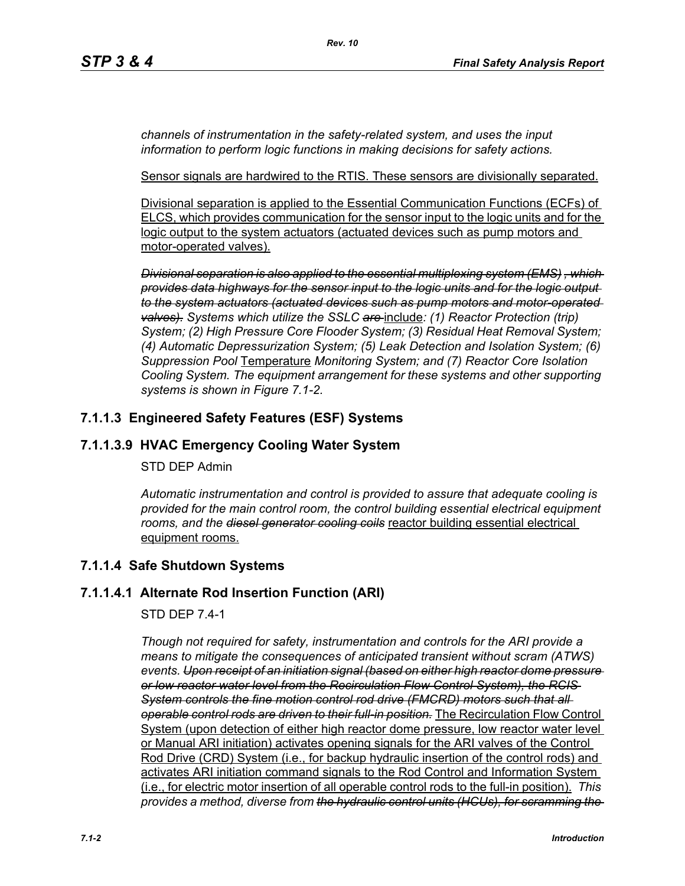*channels of instrumentation in the safety-related system, and uses the input information to perform logic functions in making decisions for safety actions.*

Sensor signals are hardwired to the RTIS. These sensors are divisionally separated.

Divisional separation is applied to the Essential Communication Functions (ECFs) of ELCS, which provides communication for the sensor input to the logic units and for the logic output to the system actuators (actuated devices such as pump motors and motor-operated valves).

*Divisional separation is also applied to the essential multiplexing system (EMS) , which provides data highways for the sensor input to the logic units and for the logic output to the system actuators (actuated devices such as pump motors and motor-operated valves). Systems which utilize the SSLC are* include*: (1) Reactor Protection (trip) System; (2) High Pressure Core Flooder System; (3) Residual Heat Removal System; (4) Automatic Depressurization System; (5) Leak Detection and Isolation System; (6) Suppression Pool* Temperature *Monitoring System; and (7) Reactor Core Isolation Cooling System. The equipment arrangement for these systems and other supporting systems is shown in Figure 7.1-2.*

## **7.1.1.3 Engineered Safety Features (ESF) Systems**

## **7.1.1.3.9 HVAC Emergency Cooling Water System**

#### STD DEP Admin

*Automatic instrumentation and control is provided to assure that adequate cooling is provided for the main control room, the control building essential electrical equipment rooms, and the diesel generator cooling coils* reactor building essential electrical equipment rooms.

## **7.1.1.4 Safe Shutdown Systems**

## **7.1.1.4.1 Alternate Rod Insertion Function (ARI)**

## STD DEP 7.4-1

*Though not required for safety, instrumentation and controls for the ARI provide a means to mitigate the consequences of anticipated transient without scram (ATWS) events. Upon receipt of an initiation signal (based on either high reactor dome pressure or low reactor water level from the Recirculation Flow Control System), the RCIS System controls the fine motion control rod drive (FMCRD) motors such that all operable control rods are driven to their full-in position.* The Recirculation Flow Control System (upon detection of either high reactor dome pressure, low reactor water level or Manual ARI initiation) activates opening signals for the ARI valves of the Control Rod Drive (CRD) System (i.e., for backup hydraulic insertion of the control rods) and activates ARI initiation command signals to the Rod Control and Information System (i.e., for electric motor insertion of all operable control rods to the full-in position). *This provides a method, diverse from the hydraulic control units (HCUs), for scramming the*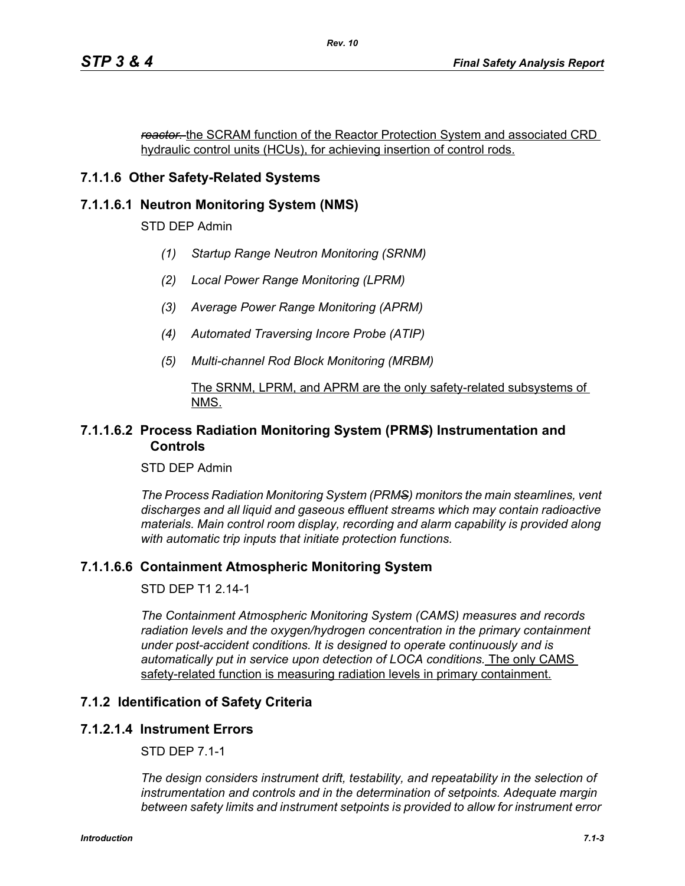*reactor.* the SCRAM function of the Reactor Protection System and associated CRD hydraulic control units (HCUs), for achieving insertion of control rods.

## **7.1.1.6 Other Safety-Related Systems**

#### **7.1.1.6.1 Neutron Monitoring System (NMS)**

STD DEP Admin

- *(1) Startup Range Neutron Monitoring (SRNM)*
- *(2) Local Power Range Monitoring (LPRM)*
- *(3) Average Power Range Monitoring (APRM)*
- *(4) Automated Traversing Incore Probe (ATIP)*
- *(5) Multi-channel Rod Block Monitoring (MRBM)*

#### The SRNM, LPRM, and APRM are the only safety-related subsystems of NMS.

#### **7.1.1.6.2 Process Radiation Monitoring System (PRM***S***) Instrumentation and Controls**

STD DEP Admin

*The Process Radiation Monitoring System (PRMS) monitors the main steamlines, vent discharges and all liquid and gaseous effluent streams which may contain radioactive materials. Main control room display, recording and alarm capability is provided along with automatic trip inputs that initiate protection functions.*

#### **7.1.1.6.6 Containment Atmospheric Monitoring System**

STD DEP T1 2.14-1

*The Containment Atmospheric Monitoring System (CAMS) measures and records radiation levels and the oxygen/hydrogen concentration in the primary containment under post-accident conditions. It is designed to operate continuously and is automatically put in service upon detection of LOCA conditions.* The only CAMS safety-related function is measuring radiation levels in primary containment.

#### **7.1.2 Identification of Safety Criteria**

#### **7.1.2.1.4 Instrument Errors**

STD DEP 7.1-1

*The design considers instrument drift, testability, and repeatability in the selection of instrumentation and controls and in the determination of setpoints. Adequate margin between safety limits and instrument setpoints is provided to allow for instrument error*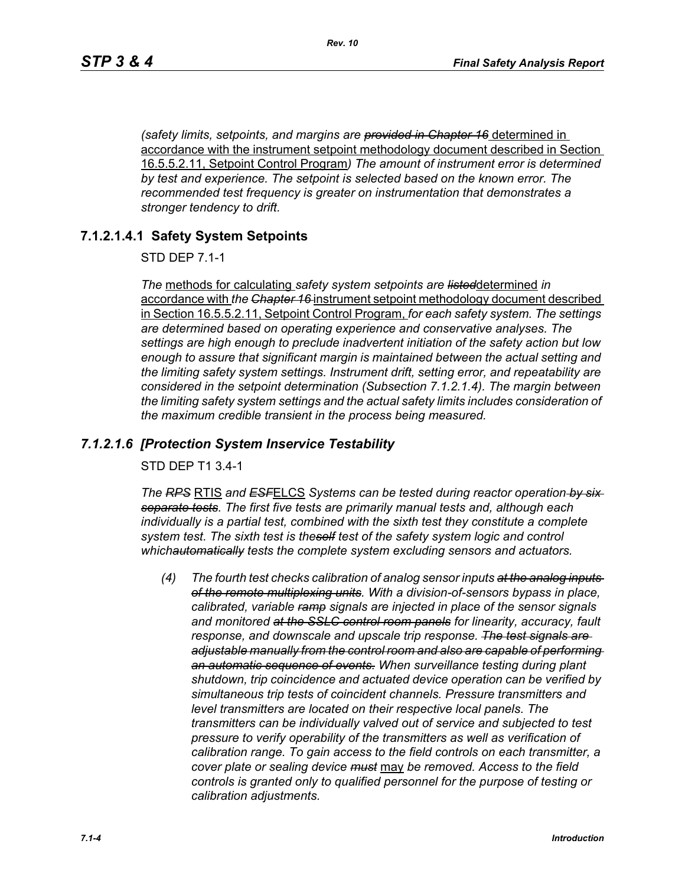*(safety limits, setpoints, and margins are provided in Chapter 16* determined in accordance with the instrument setpoint methodology document described in Section 16.5.5.2.11, Setpoint Control Program*) The amount of instrument error is determined by test and experience. The setpoint is selected based on the known error. The recommended test frequency is greater on instrumentation that demonstrates a stronger tendency to drift.*

#### **7.1.2.1.4.1 Safety System Setpoints**

STD DEP 7.1-1

*The* methods for calculating *safety system setpoints are listed*determined *in*  accordance with *the Chapter 16* instrument setpoint methodology document described in Section 16.5.5.2.11, Setpoint Control Program, *for each safety system. The settings are determined based on operating experience and conservative analyses. The settings are high enough to preclude inadvertent initiation of the safety action but low enough to assure that significant margin is maintained between the actual setting and the limiting safety system settings. Instrument drift, setting error, and repeatability are considered in the setpoint determination (Subsection 7.1.2.1.4). The margin between the limiting safety system settings and the actual safety limits includes consideration of the maximum credible transient in the process being measured.*

#### *7.1.2.1.6 [Protection System Inservice Testability*

STD DEP T1 3.4-1

*The RPS* RTIS *and ESF*ELCS *Systems can be tested during reactor operation by six separate tests. The first five tests are primarily manual tests and, although each individually is a partial test, combined with the sixth test they constitute a complete system test. The sixth test is theself test of the safety system logic and control whichautomatically tests the complete system excluding sensors and actuators.*

*(4) The fourth test checks calibration of analog sensor inputs at the analog inputs of the remote multiplexing units. With a division-of-sensors bypass in place, calibrated, variable ramp signals are injected in place of the sensor signals and monitored at the SSLC control room panels for linearity, accuracy, fault response, and downscale and upscale trip response. The test signals are adjustable manually from the control room and also are capable of performing an automatic sequence of events. When surveillance testing during plant shutdown, trip coincidence and actuated device operation can be verified by simultaneous trip tests of coincident channels. Pressure transmitters and level transmitters are located on their respective local panels. The transmitters can be individually valved out of service and subjected to test pressure to verify operability of the transmitters as well as verification of calibration range. To gain access to the field controls on each transmitter, a cover plate or sealing device must* may *be removed. Access to the field controls is granted only to qualified personnel for the purpose of testing or calibration adjustments.*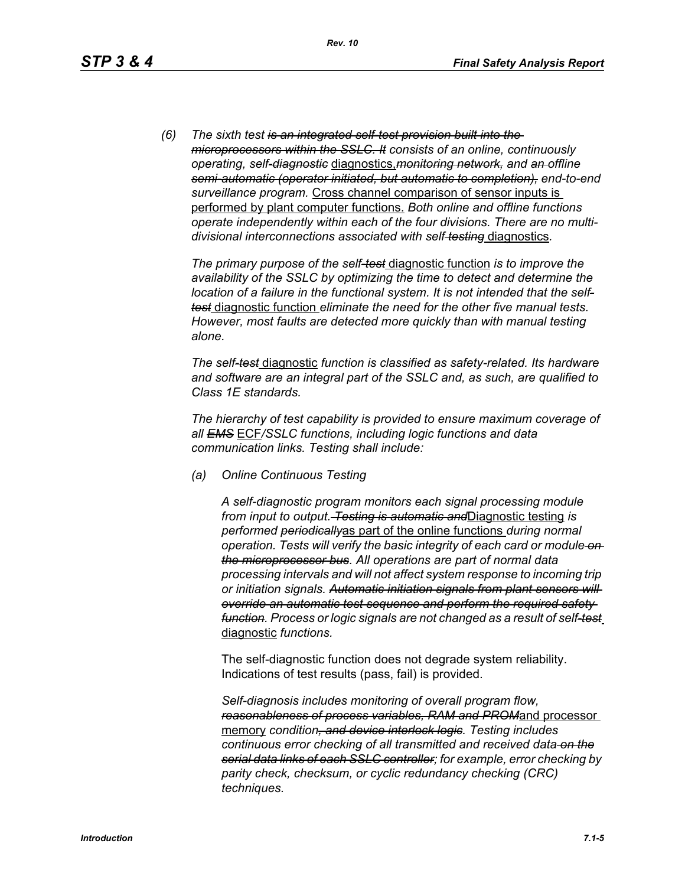*(6) The sixth test is an integrated self-test provision built into the microprocessors within the SSLC. It consists of an online, continuously operating, self-diagnostic* diagnostics,*monitoring network, and an offline semi-automatic (operator initiated, but automatic to completion), end-to-end surveillance program.* Cross channel comparison of sensor inputs is performed by plant computer functions. *Both online and offline functions operate independently within each of the four divisions. There are no multidivisional interconnections associated with self testing* diagnostics*.*

*The primary purpose of the self-test* diagnostic function *is to improve the availability of the SSLC by optimizing the time to detect and determine the location of a failure in the functional system. It is not intended that the selftest* diagnostic function *eliminate the need for the other five manual tests. However, most faults are detected more quickly than with manual testing alone.*

*The self-test* diagnostic *function is classified as safety-related. Its hardware and software are an integral part of the SSLC and, as such, are qualified to Class 1E standards.*

*The hierarchy of test capability is provided to ensure maximum coverage of all EMS* ECF*/SSLC functions, including logic functions and data communication links. Testing shall include:*

*(a) Online Continuous Testing*

*A self-diagnostic program monitors each signal processing module from input to output. Testing is automatic and*Diagnostic testing *is performed periodically*as part of the online functions *during normal operation. Tests will verify the basic integrity of each card or module on the microprocessor bus. All operations are part of normal data processing intervals and will not affect system response to incoming trip or initiation signals. Automatic initiation signals from plant sensors will override an automatic test sequence and perform the required safety function. Process or logic signals are not changed as a result of self-test* diagnostic *functions.*

The self-diagnostic function does not degrade system reliability. Indications of test results (pass, fail) is provided.

*Self-diagnosis includes monitoring of overall program flow, reasonableness of process variables, RAM and PROM*and processor memory *condition, and device interlock logic. Testing includes continuous error checking of all transmitted and received data on the serial data links of each SSLC controller; for example, error checking by parity check, checksum, or cyclic redundancy checking (CRC) techniques.*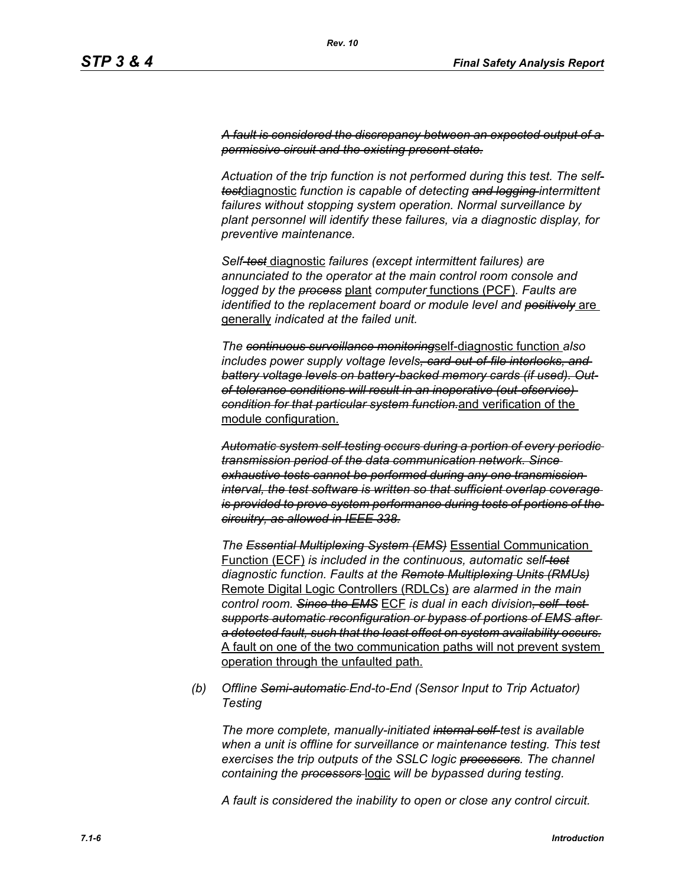*A fault is considered the discrepancy between an expected output of a permissive circuit and the existing present state.*

*Actuation of the trip function is not performed during this test. The selftest*diagnostic *function is capable of detecting and logging intermittent failures without stopping system operation. Normal surveillance by plant personnel will identify these failures, via a diagnostic display, for preventive maintenance.*

*Self-test* diagnostic *failures (except intermittent failures) are annunciated to the operator at the main control room console and logged by the process* plant *computer* functions (PCF)*. Faults are identified to the replacement board or module level and positively* are generally *indicated at the failed unit.*

*The continuous surveillance monitoring*self-diagnostic function *also includes power supply voltage levels, card-out-of-file interlocks, and battery voltage levels on battery-backed memory cards (if used). Outof-tolerance conditions will result in an inoperative (out-ofservice) condition for that particular system function.*and verification of the module configuration.

*Automatic system self-testing occurs during a portion of every periodic transmission period of the data communication network. Since exhaustive tests cannot be performed during any one transmission interval, the test software is written so that sufficient overlap coverage is provided to prove system performance during tests of portions of the circuitry, as allowed in IEEE 338.*

*The Essential Multiplexing System (EMS)* Essential Communication Function (ECF) *is included in the continuous, automatic self-test diagnostic function. Faults at the Remote Multiplexing Units (RMUs)* Remote Digital Logic Controllers (RDLCs) *are alarmed in the main control room. Since the EMS* ECF *is dual in each division, self- test supports automatic reconfiguration or bypass of portions of EMS after a detected fault, such that the least effect on system availability occurs.* A fault on one of the two communication paths will not prevent system operation through the unfaulted path.

*(b) Offline Semi-automatic End-to-End (Sensor Input to Trip Actuator) Testing*

*The more complete, manually-initiated internal self-test is available when a unit is offline for surveillance or maintenance testing. This test exercises the trip outputs of the SSLC logic processors. The channel containing the processors* logic *will be bypassed during testing.*

*A fault is considered the inability to open or close any control circuit.*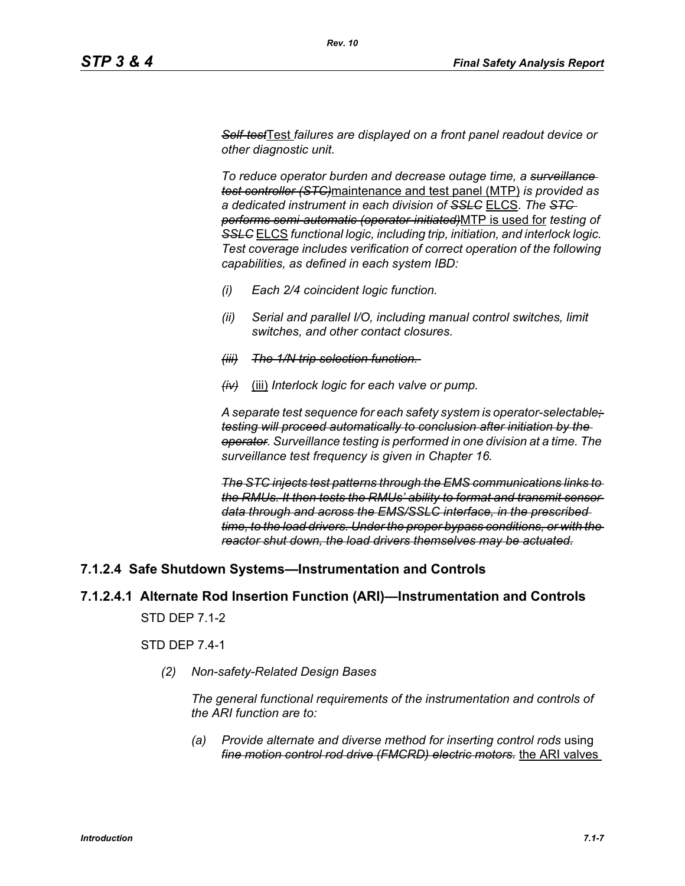*Self-test*Test *failures are displayed on a front panel readout device or other diagnostic unit.*

*To reduce operator burden and decrease outage time, a surveillance test controller (STC)*maintenance and test panel (MTP) *is provided as a dedicated instrument in each division of SSLC* ELCS. *The STC performs semi-automatic (operator-initiated)*MTP is used for *testing of SSLC* ELCS *functional logic, including trip, initiation, and interlock logic. Test coverage includes verification of correct operation of the following capabilities, as defined in each system IBD:*

- *(i) Each 2/4 coincident logic function.*
- *(ii) Serial and parallel I/O, including manual control switches, limit switches, and other contact closures.*
- *(iii) The 1/N trip selection function.*
- *(iv)* (iii) *Interlock logic for each valve or pump.*

*A separate test sequence for each safety system is operator-selectable; testing will proceed automatically to conclusion after initiation by the operator. Surveillance testing is performed in one division at a time. The surveillance test frequency is given in Chapter 16.*

*The STC injects test patterns through the EMS communications links to the RMUs. It then tests the RMUs' ability to format and transmit sensor data through and across the EMS/SSLC interface, in the prescribed time, to the load drivers. Under the proper bypass conditions, or with the reactor shut down, the load drivers themselves may be actuated.*

## **7.1.2.4 Safe Shutdown Systems—Instrumentation and Controls**

## **7.1.2.4.1 Alternate Rod Insertion Function (ARI)—Instrumentation and Controls**

STD DEP 7.1-2

STD DEP 7.4-1

*(2) Non-safety-Related Design Bases*

*The general functional requirements of the instrumentation and controls of the ARI function are to:*

*(a) Provide alternate and diverse method for inserting control rods* using *fine motion control rod drive (FMCRD) electric motors.* the ARI valves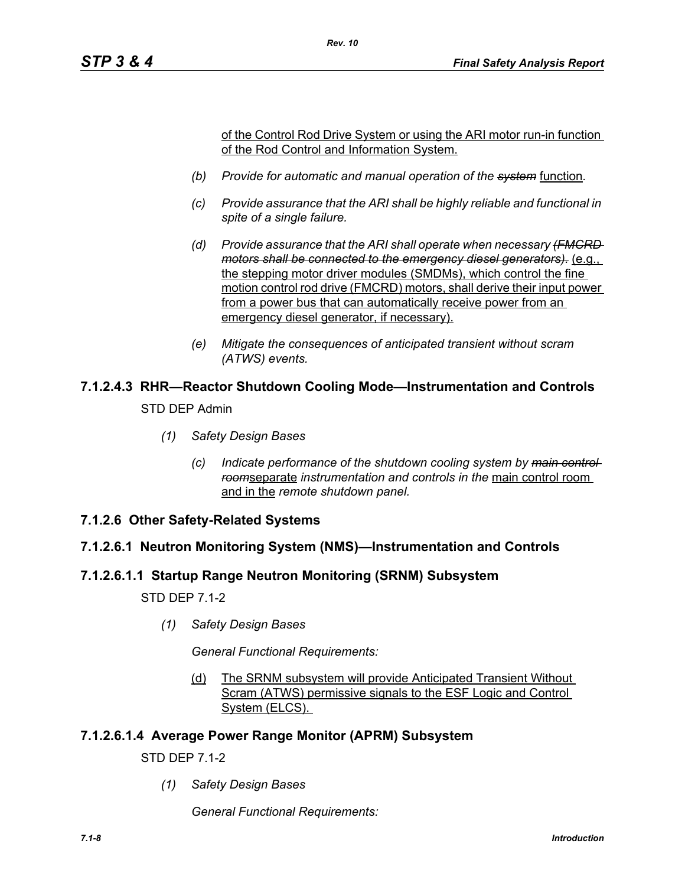of the Control Rod Drive System or using the ARI motor run-in function of the Rod Control and Information System.

*(b) Provide for automatic and manual operation of the system* function*.*

*Rev. 10*

- *(c) Provide assurance that the ARI shall be highly reliable and functional in spite of a single failure.*
- *(d) Provide assurance that the ARI shall operate when necessary (FMCRD motors shall be connected to the emergency diesel generators).* (e.g., the stepping motor driver modules (SMDMs), which control the fine motion control rod drive (FMCRD) motors, shall derive their input power from a power bus that can automatically receive power from an emergency diesel generator, if necessary).
- *(e) Mitigate the consequences of anticipated transient without scram (ATWS) events.*

# **7.1.2.4.3 RHR—Reactor Shutdown Cooling Mode—Instrumentation and Controls**

STD DEP Admin

- *(1) Safety Design Bases*
	- *(c) Indicate performance of the shutdown cooling system by main control room*separate *instrumentation and controls in the* main control room and in the *remote shutdown panel.*
- **7.1.2.6 Other Safety-Related Systems**

## **7.1.2.6.1 Neutron Monitoring System (NMS)—Instrumentation and Controls**

## **7.1.2.6.1.1 Startup Range Neutron Monitoring (SRNM) Subsystem**

STD DEP 7.1-2

*(1) Safety Design Bases*

*General Functional Requirements:*

(d) The SRNM subsystem will provide Anticipated Transient Without Scram (ATWS) permissive signals to the ESF Logic and Control System (ELCS).

## **7.1.2.6.1.4 Average Power Range Monitor (APRM) Subsystem**

STD DEP 7.1-2

*(1) Safety Design Bases*

*General Functional Requirements:*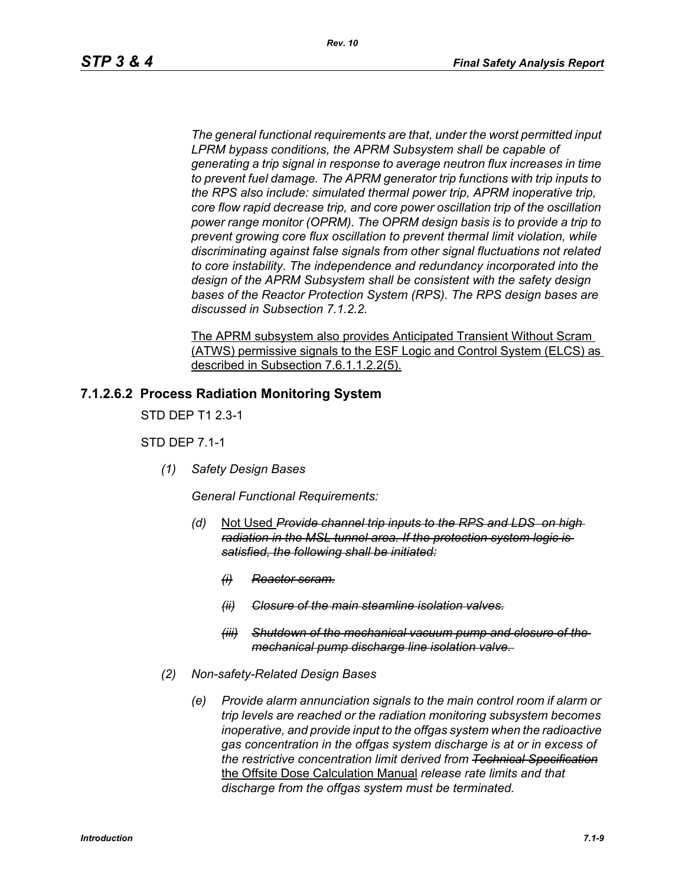*The general functional requirements are that, under the worst permitted input LPRM bypass conditions, the APRM Subsystem shall be capable of generating a trip signal in response to average neutron flux increases in time to prevent fuel damage. The APRM generator trip functions with trip inputs to the RPS also include: simulated thermal power trip, APRM inoperative trip, core flow rapid decrease trip, and core power oscillation trip of the oscillation power range monitor (OPRM). The OPRM design basis is to provide a trip to prevent growing core flux oscillation to prevent thermal limit violation, while discriminating against false signals from other signal fluctuations not related to core instability. The independence and redundancy incorporated into the design of the APRM Subsystem shall be consistent with the safety design bases of the Reactor Protection System (RPS). The RPS design bases are discussed in Subsection 7.1.2.2.*

The APRM subsystem also provides Anticipated Transient Without Scram (ATWS) permissive signals to the ESF Logic and Control System (ELCS) as described in Subsection 7.6.1.1.2.2(5).

#### **7.1.2.6.2 Process Radiation Monitoring System**

STD DEP T1 2.3-1

STD DEP 7.1-1

*(1) Safety Design Bases*

*General Functional Requirements:*

- *(d)* Not Used *Provide channel trip inputs to the RPS and LDS on high radiation in the MSL tunnel area. If the protection system logic is satisfied, the following shall be initiated:*
	- *(i) Reactor scram.*
	- *(ii) Closure of the main steamline isolation valves.*
	- *(iii) Shutdown of the mechanical vacuum pump and closure of the mechanical pump discharge line isolation valve.*
- *(2) Non-safety-Related Design Bases*
	- *(e) Provide alarm annunciation signals to the main control room if alarm or trip levels are reached or the radiation monitoring subsystem becomes inoperative, and provide input to the offgas system when the radioactive gas concentration in the offgas system discharge is at or in excess of the restrictive concentration limit derived from Technical Specification* the Offsite Dose Calculation Manual *release rate limits and that discharge from the offgas system must be terminated.*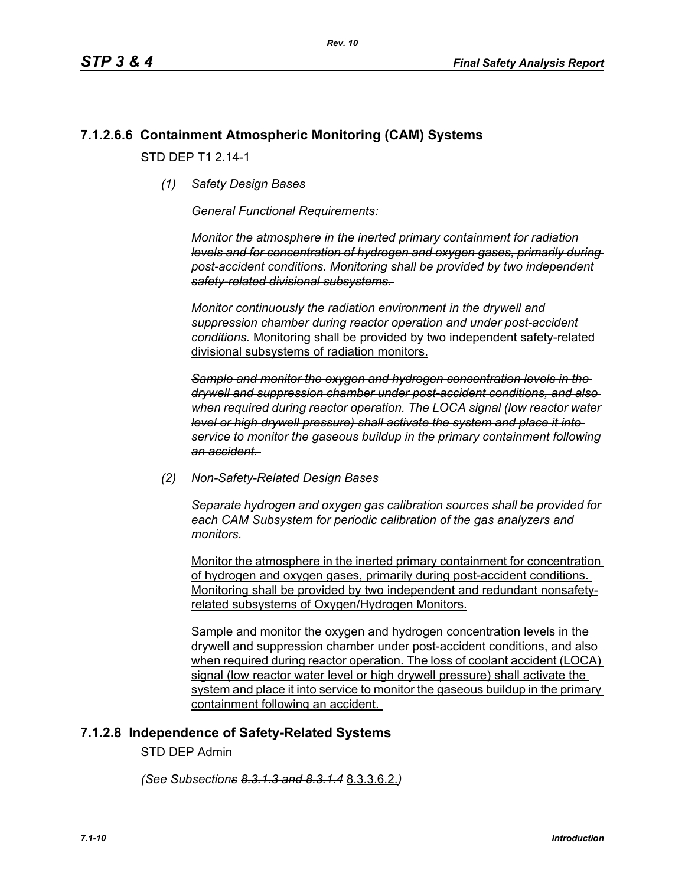## **7.1.2.6.6 Containment Atmospheric Monitoring (CAM) Systems**

STD DFP T1 2 14-1

*(1) Safety Design Bases*

*General Functional Requirements:*

*Monitor the atmosphere in the inerted primary containment for radiation levels and for concentration of hydrogen and oxygen gases, primarily during post-accident conditions. Monitoring shall be provided by two independent safety-related divisional subsystems.* 

*Monitor continuously the radiation environment in the drywell and suppression chamber during reactor operation and under post-accident conditions.* Monitoring shall be provided by two independent safety-related divisional subsystems of radiation monitors.

*Sample and monitor the oxygen and hydrogen concentration levels in the drywell and suppression chamber under post-accident conditions, and also when required during reactor operation. The LOCA signal (low reactor water level or high drywell pressure) shall activate the system and place it into service to monitor the gaseous buildup in the primary containment following an accident.* 

*(2) Non-Safety-Related Design Bases*

*Separate hydrogen and oxygen gas calibration sources shall be provided for each CAM Subsystem for periodic calibration of the gas analyzers and monitors.* 

Monitor the atmosphere in the inerted primary containment for concentration of hydrogen and oxygen gases, primarily during post-accident conditions. Monitoring shall be provided by two independent and redundant nonsafetyrelated subsystems of Oxygen/Hydrogen Monitors.

Sample and monitor the oxygen and hydrogen concentration levels in the drywell and suppression chamber under post-accident conditions, and also when required during reactor operation. The loss of coolant accident (LOCA) signal (low reactor water level or high drywell pressure) shall activate the system and place it into service to monitor the gaseous buildup in the primary containment following an accident.

## **7.1.2.8 Independence of Safety-Related Systems**

STD DEP Admin

*(See Subsections 8.3.1.3 and 8.3.1.4* 8.3.3.6.2.*)*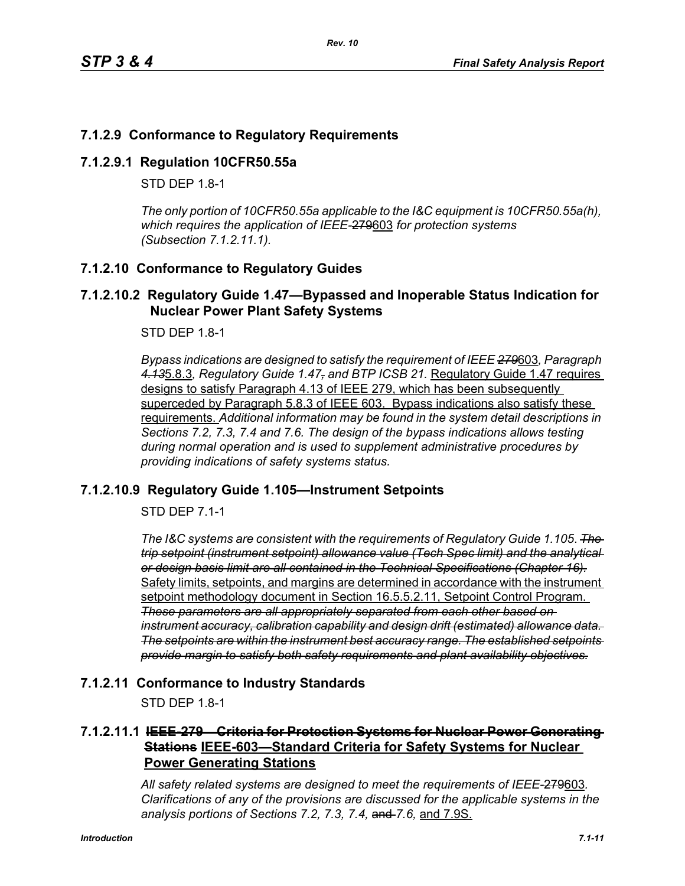## **7.1.2.9 Conformance to Regulatory Requirements**

#### **7.1.2.9.1 Regulation 10CFR50.55a**

STD DFP 18-1

*The only portion of 10CFR50.55a applicable to the I&C equipment is 10CFR50.55a(h), which requires the application of IEEE-*279603 *for protection systems (Subsection 7.1.2.11.1).*

## **7.1.2.10 Conformance to Regulatory Guides**

#### **7.1.2.10.2 Regulatory Guide 1.47—Bypassed and Inoperable Status Indication for Nuclear Power Plant Safety Systems**

STD DEP 1.8-1

*Bypass indications are designed to satisfy the requirement of IEEE 279*603*, Paragraph 4.13*5.8.3*, Regulatory Guide 1.47, and BTP ICSB 21.* Regulatory Guide 1.47 requires designs to satisfy Paragraph 4.13 of IEEE 279, which has been subsequently superceded by Paragraph 5.8.3 of IEEE 603. Bypass indications also satisfy these requirements. *Additional information may be found in the system detail descriptions in Sections 7.2, 7.3, 7.4 and 7.6. The design of the bypass indications allows testing during normal operation and is used to supplement administrative procedures by providing indications of safety systems status.*

## **7.1.2.10.9 Regulatory Guide 1.105—Instrument Setpoints**

STD DEP 7.1-1

*The I&C systems are consistent with the requirements of Regulatory Guide 1.105*. *The trip setpoint (instrument setpoint) allowance value (Tech Spec limit) and the analytical or design basis limit are all contained in the Technical Specifications (Chapter 16).* Safety limits, setpoints, and margins are determined in accordance with the instrument setpoint methodology document in Section 16.5.5.2.11, Setpoint Control Program. *These parameters are all appropriately separated from each other based on instrument accuracy, calibration capability and design drift (estimated) allowance data. The setpoints are within the instrument best accuracy range. The established setpoints provide margin to satisfy both safety requirements and plant availability objectives.*

## **7.1.2.11 Conformance to Industry Standards**

STD DEP 1.8-1

## **7.1.2.11.1 IEEE-279—Criteria for Protection Systems for Nuclear Power Generating Stations IEEE-603—Standard Criteria for Safety Systems for Nuclear Power Generating Stations**

*All safety related systems are designed to meet the requirements of IEEE-*279603*. Clarifications of any of the provisions are discussed for the applicable systems in the analysis portions of Sections 7.2, 7.3, 7.4,* and *7.6,* and 7.9S.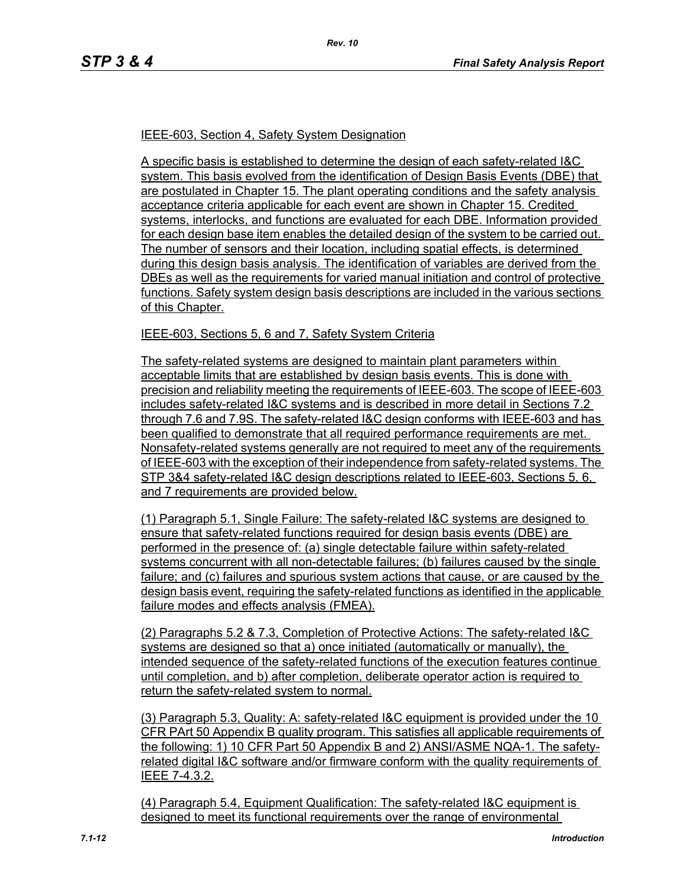#### IEEE-603, Section 4, Safety System Designation

A specific basis is established to determine the design of each safety-related I&C system. This basis evolved from the identification of Design Basis Events (DBE) that are postulated in Chapter 15. The plant operating conditions and the safety analysis acceptance criteria applicable for each event are shown in Chapter 15. Credited systems, interlocks, and functions are evaluated for each DBE. Information provided for each design base item enables the detailed design of the system to be carried out. The number of sensors and their location, including spatial effects, is determined during this design basis analysis. The identification of variables are derived from the DBEs as well as the requirements for varied manual initiation and control of protective functions. Safety system design basis descriptions are included in the various sections of this Chapter.

#### IEEE-603, Sections 5, 6 and 7, Safety System Criteria

The safety-related systems are designed to maintain plant parameters within acceptable limits that are established by design basis events. This is done with precision and reliability meeting the requirements of IEEE-603. The scope of IEEE-603 includes safety-related I&C systems and is described in more detail in Sections 7.2 through 7.6 and 7.9S. The safety-related I&C design conforms with IEEE-603 and has been qualified to demonstrate that all required performance requirements are met. Nonsafety-related systems generally are not required to meet any of the requirements of IEEE-603 with the exception of their independence from safety-related systems. The STP 3&4 safety-related I&C design descriptions related to IEEE-603, Sections 5, 6, and 7 requirements are provided below.

(1) Paragraph 5.1, Single Failure: The safety-related I&C systems are designed to ensure that safety-related functions required for design basis events (DBE) are performed in the presence of: (a) single detectable failure within safety-related systems concurrent with all non-detectable failures; (b) failures caused by the single failure; and (c) failures and spurious system actions that cause, or are caused by the design basis event, requiring the safety-related functions as identified in the applicable failure modes and effects analysis (FMEA).

(2) Paragraphs 5.2 & 7.3, Completion of Protective Actions: The safety-related I&C systems are designed so that a) once initiated (automatically or manually), the intended sequence of the safety-related functions of the execution features continue until completion, and b) after completion, deliberate operator action is required to return the safety-related system to normal.

(3) Paragraph 5.3, Quality: A: safety-related I&C equipment is provided under the 10 CFR PArt 50 Appendix B quality program. This satisfies all applicable requirements of the following: 1) 10 CFR Part 50 Appendix B and 2) ANSI/ASME NQA-1. The safetyrelated digital I&C software and/or firmware conform with the quality requirements of IEEE 7-4.3.2.

(4) Paragraph 5.4, Equipment Qualification: The safety-related I&C equipment is designed to meet its functional requirements over the range of environmental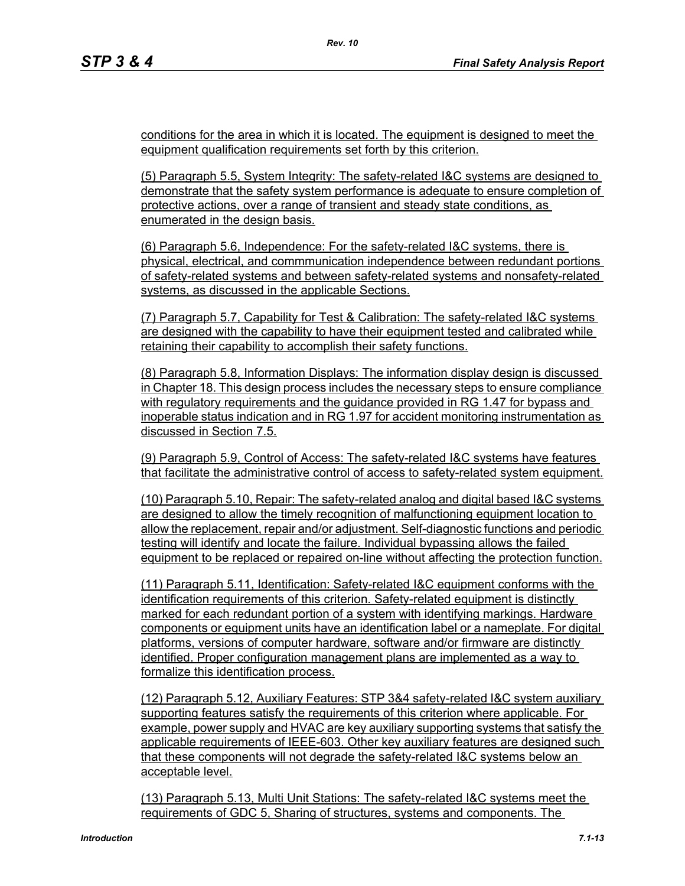conditions for the area in which it is located. The equipment is designed to meet the equipment qualification requirements set forth by this criterion.

(5) Paragraph 5.5, System Integrity: The safety-related I&C systems are designed to demonstrate that the safety system performance is adequate to ensure completion of protective actions, over a range of transient and steady state conditions, as enumerated in the design basis.

(6) Paragraph 5.6, Independence: For the safety-related I&C systems, there is physical, electrical, and commmunication independence between redundant portions of safety-related systems and between safety-related systems and nonsafety-related systems, as discussed in the applicable Sections.

(7) Paragraph 5.7, Capability for Test & Calibration: The safety-related I&C systems are designed with the capability to have their equipment tested and calibrated while retaining their capability to accomplish their safety functions.

(8) Paragraph 5.8, Information Displays: The information display design is discussed in Chapter 18. This design process includes the necessary steps to ensure compliance with regulatory requirements and the guidance provided in RG 1.47 for bypass and inoperable status indication and in RG 1.97 for accident monitoring instrumentation as discussed in Section 7.5.

(9) Paragraph 5.9, Control of Access: The safety-related I&C systems have features that facilitate the administrative control of access to safety-related system equipment.

(10) Paragraph 5.10, Repair: The safety-related analog and digital based I&C systems are designed to allow the timely recognition of malfunctioning equipment location to allow the replacement, repair and/or adjustment. Self-diagnostic functions and periodic testing will identify and locate the failure. Individual bypassing allows the failed equipment to be replaced or repaired on-line without affecting the protection function.

(11) Paragraph 5.11, Identification: Safety-related I&C equipment conforms with the identification requirements of this criterion. Safety-related equipment is distinctly marked for each redundant portion of a system with identifying markings. Hardware components or equipment units have an identification label or a nameplate. For digital platforms, versions of computer hardware, software and/or firmware are distinctly identified. Proper configuration management plans are implemented as a way to formalize this identification process.

(12) Paragraph 5.12, Auxiliary Features: STP 3&4 safety-related I&C system auxiliary supporting features satisfy the requirements of this criterion where applicable. For example, power supply and HVAC are key auxiliary supporting systems that satisfy the applicable requirements of IEEE-603. Other key auxiliary features are designed such that these components will not degrade the safety-related I&C systems below an acceptable level.

(13) Paragraph 5.13, Multi Unit Stations: The safety-related I&C systems meet the requirements of GDC 5, Sharing of structures, systems and components. The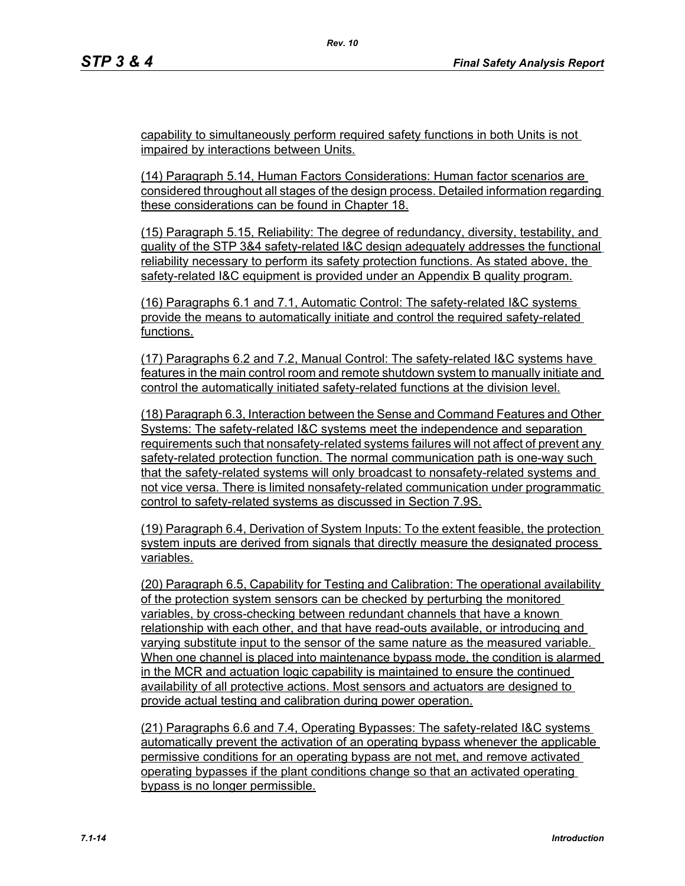capability to simultaneously perform required safety functions in both Units is not impaired by interactions between Units.

(14) Paragraph 5.14, Human Factors Considerations: Human factor scenarios are considered throughout all stages of the design process. Detailed information regarding these considerations can be found in Chapter 18.

(15) Paragraph 5.15, Reliability: The degree of redundancy, diversity, testability, and quality of the STP 3&4 safety-related I&C design adequately addresses the functional reliability necessary to perform its safety protection functions. As stated above, the safety-related I&C equipment is provided under an Appendix B quality program.

(16) Paragraphs 6.1 and 7.1, Automatic Control: The safety-related I&C systems provide the means to automatically initiate and control the required safety-related functions.

(17) Paragraphs 6.2 and 7.2, Manual Control: The safety-related I&C systems have features in the main control room and remote shutdown system to manually initiate and control the automatically initiated safety-related functions at the division level.

(18) Paragraph 6.3, Interaction between the Sense and Command Features and Other Systems: The safety-related I&C systems meet the independence and separation requirements such that nonsafety-related systems failures will not affect of prevent any safety-related protection function. The normal communication path is one-way such that the safety-related systems will only broadcast to nonsafety-related systems and not vice versa. There is limited nonsafety-related communication under programmatic control to safety-related systems as discussed in Section 7.9S.

(19) Paragraph 6.4, Derivation of System Inputs: To the extent feasible, the protection system inputs are derived from signals that directly measure the designated process variables.

(20) Paragraph 6.5, Capability for Testing and Calibration: The operational availability of the protection system sensors can be checked by perturbing the monitored variables, by cross-checking between redundant channels that have a known relationship with each other, and that have read-outs available, or introducing and varying substitute input to the sensor of the same nature as the measured variable. When one channel is placed into maintenance bypass mode, the condition is alarmed in the MCR and actuation logic capability is maintained to ensure the continued availability of all protective actions. Most sensors and actuators are designed to provide actual testing and calibration during power operation.

(21) Paragraphs 6.6 and 7.4, Operating Bypasses: The safety-related I&C systems automatically prevent the activation of an operating bypass whenever the applicable permissive conditions for an operating bypass are not met, and remove activated operating bypasses if the plant conditions change so that an activated operating bypass is no longer permissible.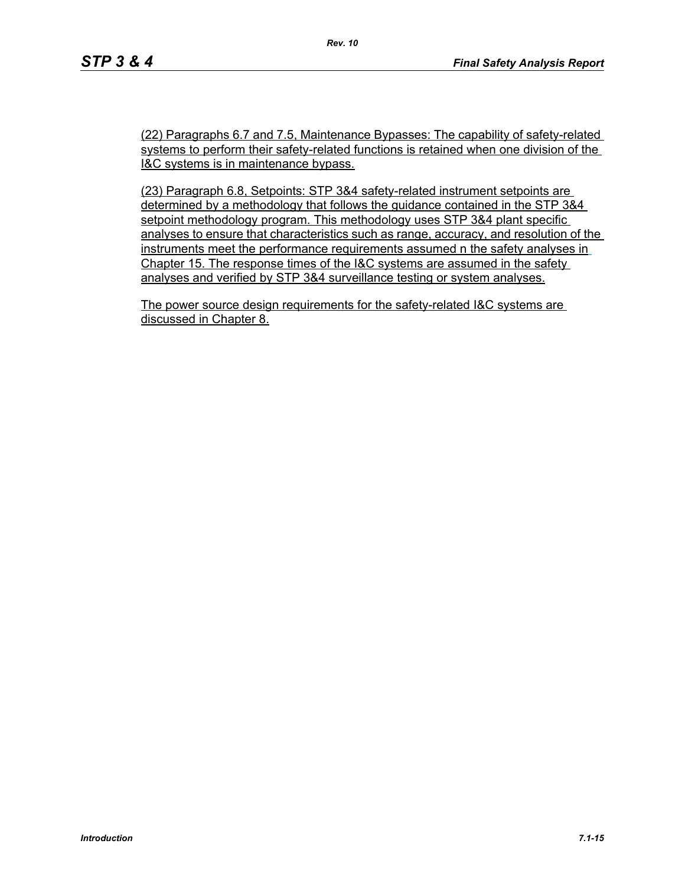(22) Paragraphs 6.7 and 7.5, Maintenance Bypasses: The capability of safety-related systems to perform their safety-related functions is retained when one division of the I&C systems is in maintenance bypass.

(23) Paragraph 6.8, Setpoints: STP 3&4 safety-related instrument setpoints are determined by a methodology that follows the guidance contained in the STP 3&4 setpoint methodology program. This methodology uses STP 3&4 plant specific analyses to ensure that characteristics such as range, accuracy, and resolution of the instruments meet the performance requirements assumed n the safety analyses in Chapter 15. The response times of the I&C systems are assumed in the safety analyses and verified by STP 3&4 surveillance testing or system analyses.

The power source design requirements for the safety-related I&C systems are discussed in Chapter 8.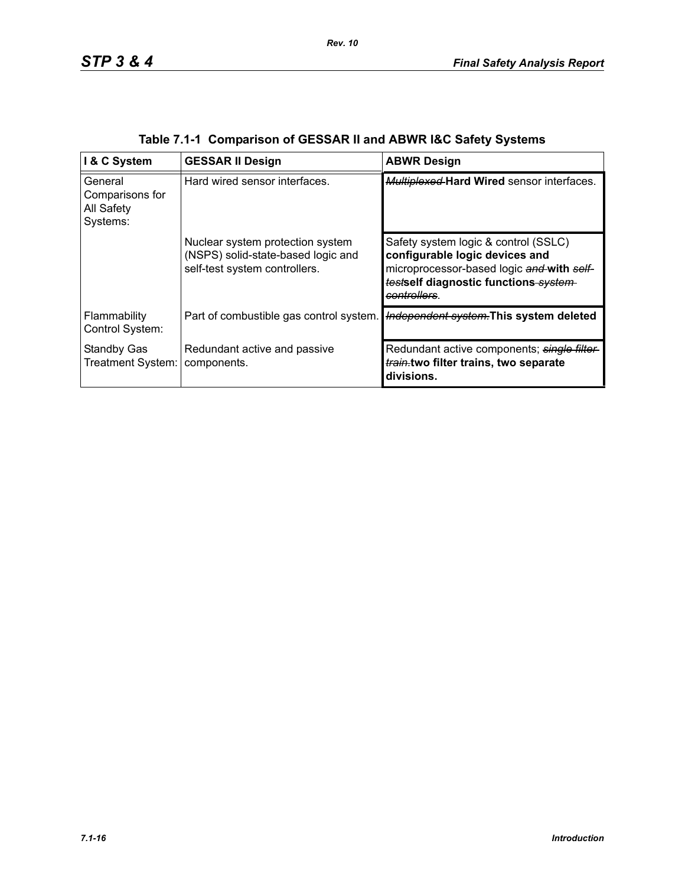| I & C System                                         | <b>GESSAR II Design</b>                                                                                 | <b>ABWR Design</b>                                                                                                                                                          |
|------------------------------------------------------|---------------------------------------------------------------------------------------------------------|-----------------------------------------------------------------------------------------------------------------------------------------------------------------------------|
| General<br>Comparisons for<br>All Safety<br>Systems: | Hard wired sensor interfaces.                                                                           | <b>Multiplexed Hard Wired sensor interfaces.</b>                                                                                                                            |
|                                                      | Nuclear system protection system<br>(NSPS) solid-state-based logic and<br>self-test system controllers. | Safety system logic & control (SSLC)<br>configurable logic devices and<br>microprocessor-based logic and with self-<br>testself diagnostic functions system-<br>controllers |
| Flammability<br>Control System:                      | Part of combustible gas control system.                                                                 | Independent system. This system deleted                                                                                                                                     |
| <b>Standby Gas</b><br>Treatment System:              | Redundant active and passive<br>components.                                                             | Redundant active components; single filter<br>train.two filter trains, two separate<br>divisions.                                                                           |

|  | Table 7.1-1 Comparison of GESSAR II and ABWR I&C Safety Systems |  |  |
|--|-----------------------------------------------------------------|--|--|
|  |                                                                 |  |  |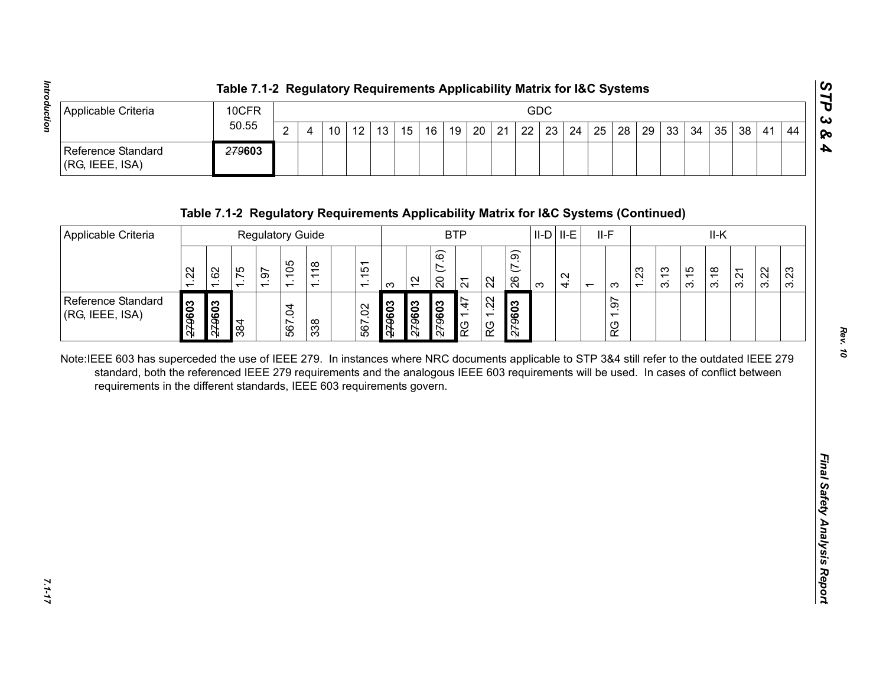|                                           | Table 7.1-2 Regulatory Requirements Applicability Matrix for I&C Systems |   |  |                   |                 |         |    |  |     |  |  |  |                                                                |  |      | ပ    |
|-------------------------------------------|--------------------------------------------------------------------------|---|--|-------------------|-----------------|---------|----|--|-----|--|--|--|----------------------------------------------------------------|--|------|------|
| Applicable Criteria                       | 10CFR                                                                    |   |  |                   |                 |         |    |  | GDC |  |  |  |                                                                |  |      | ده ا |
|                                           | 50.55                                                                    | ◠ |  | $12 \overline{ }$ | 13 <sup>1</sup> | $15$ 16 | 19 |  |     |  |  |  | 20   21   22   23   24   25   28   29   33   34   35   38   41 |  | . 44 | 10   |
| Reference Standard<br>$ $ (RG, IEEE, ISA) | <del>279</del> 603                                                       |   |  |                   |                 |         |    |  |     |  |  |  |                                                                |  |      | Ð    |

| $\overline{2}$<br>22<br>12<br>21<br>23<br>24<br>25<br>28<br>29<br>33<br>34<br>35<br>38<br>10<br>13<br>15<br>16<br>19<br>20<br>44<br>$\overline{4}$<br>41<br>279603<br>Table 7.1-2 Regulatory Requirements Applicability Matrix for I&C Systems (Continued)<br><b>BTP</b><br>$II-D$ $II-E$<br>$II-F$<br>II-K<br><b>Regulatory Guide</b><br>(7.9)<br>(7.6)<br>1.105<br>1.118<br>1.151<br>62<br>1.75<br>1.23<br>3.15<br>3.22<br>1.22<br>1.97<br>3.13<br>3.23<br>3.18<br>3.21<br>4.2<br>$\overline{20}$<br>26<br>$\frac{1}{2}$<br>22<br>$\overline{2}$<br>$\infty$<br>S<br>က<br>$\overline{ }$<br>1.22<br>1.97<br>1.47<br>279603<br>279603<br>279603<br>279603<br>279603<br>509627<br>567.02<br>567.04<br>384<br>338<br>RG<br>RG<br>RG<br>Note:IEEE 603 has superceded the use of IEEE 279. In instances where NRC documents applicable to STP 3&4 still refer to the outdated IEEE 279<br>standard, both the referenced IEEE 279 requirements and the analogous IEEE 603 requirements will be used. In cases of conflict between<br>requirements in the different standards, IEEE 603 requirements govern. | Applicable Criteria                   |  | 10CFR |  |       |  |  |  |  | GDC |  |  |  |  |  |  |  |
|---------------------------------------------------------------------------------------------------------------------------------------------------------------------------------------------------------------------------------------------------------------------------------------------------------------------------------------------------------------------------------------------------------------------------------------------------------------------------------------------------------------------------------------------------------------------------------------------------------------------------------------------------------------------------------------------------------------------------------------------------------------------------------------------------------------------------------------------------------------------------------------------------------------------------------------------------------------------------------------------------------------------------------------------------------------------------------------------------------|---------------------------------------|--|-------|--|-------|--|--|--|--|-----|--|--|--|--|--|--|--|
|                                                                                                                                                                                                                                                                                                                                                                                                                                                                                                                                                                                                                                                                                                                                                                                                                                                                                                                                                                                                                                                                                                         |                                       |  |       |  | 50.55 |  |  |  |  |     |  |  |  |  |  |  |  |
|                                                                                                                                                                                                                                                                                                                                                                                                                                                                                                                                                                                                                                                                                                                                                                                                                                                                                                                                                                                                                                                                                                         | Reference Standard<br>(RG, IEEE, ISA) |  |       |  |       |  |  |  |  |     |  |  |  |  |  |  |  |
|                                                                                                                                                                                                                                                                                                                                                                                                                                                                                                                                                                                                                                                                                                                                                                                                                                                                                                                                                                                                                                                                                                         |                                       |  |       |  |       |  |  |  |  |     |  |  |  |  |  |  |  |
|                                                                                                                                                                                                                                                                                                                                                                                                                                                                                                                                                                                                                                                                                                                                                                                                                                                                                                                                                                                                                                                                                                         | Applicable Criteria                   |  |       |  |       |  |  |  |  |     |  |  |  |  |  |  |  |
|                                                                                                                                                                                                                                                                                                                                                                                                                                                                                                                                                                                                                                                                                                                                                                                                                                                                                                                                                                                                                                                                                                         |                                       |  |       |  |       |  |  |  |  |     |  |  |  |  |  |  |  |
|                                                                                                                                                                                                                                                                                                                                                                                                                                                                                                                                                                                                                                                                                                                                                                                                                                                                                                                                                                                                                                                                                                         | Reference Standard<br>(RG, IEEE, ISA) |  |       |  |       |  |  |  |  |     |  |  |  |  |  |  |  |
|                                                                                                                                                                                                                                                                                                                                                                                                                                                                                                                                                                                                                                                                                                                                                                                                                                                                                                                                                                                                                                                                                                         |                                       |  |       |  |       |  |  |  |  |     |  |  |  |  |  |  |  |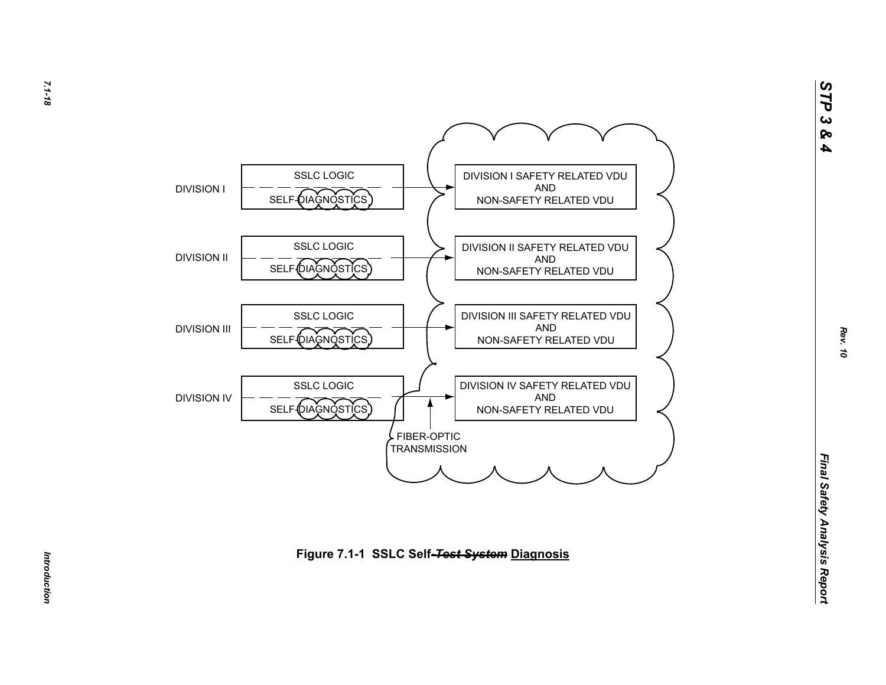